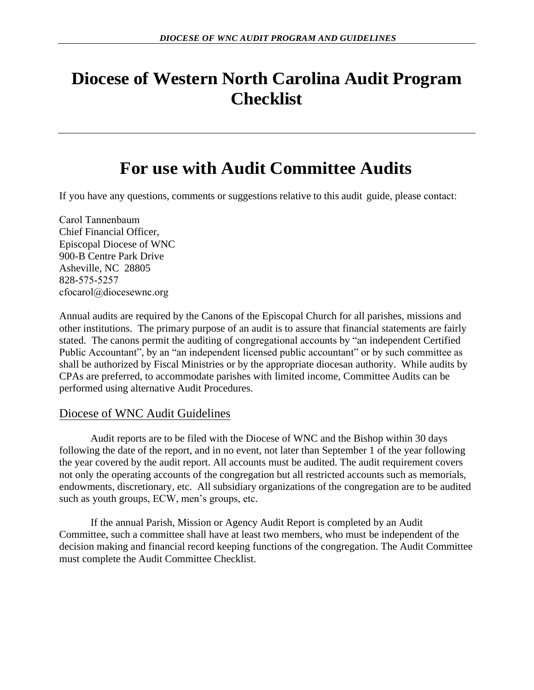# **Diocese of Western North Carolina Audit Program Checklist**

# **For use with Audit Committee Audits**

If you have any questions, comments or suggestions relative to this audit guide, please contact:

Carol Tannenbaum Chief Financial Officer, Episcopal Diocese of WNC 900-B Centre Park Drive Asheville, NC 28805 828-575-5257 cfocarol@diocesewnc.org

Annual audits are required by the Canons of the Episcopal Church for all parishes, missions and other institutions. The primary purpose of an audit is to assure that financial statements are fairly stated. The canons permit the auditing of congregational accounts by "an independent Certified Public Accountant", by an "an independent licensed public accountant" or by such committee as shall be authorized by Fiscal Ministries or by the appropriate diocesan authority. While audits by CPAs are preferred, to accommodate parishes with limited income, Committee Audits can be performed using alternative Audit Procedures.

# Diocese of WNC Audit Guidelines

Audit reports are to be filed with the Diocese of WNC and the Bishop within 30 days following the date of the report, and in no event, not later than September 1 of the year following the year covered by the audit report. All accounts must be audited. The audit requirement covers not only the operating accounts of the congregation but all restricted accounts such as memorials, endowments, discretionary, etc. All subsidiary organizations of the congregation are to be audited such as youth groups, ECW, men's groups, etc.

If the annual Parish, Mission or Agency Audit Report is completed by an Audit Committee, such a committee shall have at least two members, who must be independent of the decision making and financial record keeping functions of the congregation. The Audit Committee must complete the Audit Committee Checklist.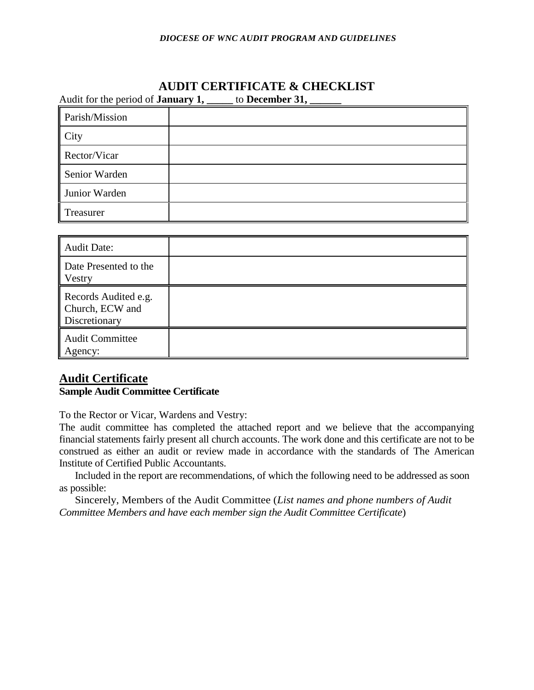# **AUDIT CERTIFICATE & CHECKLIST**

Audit for the period of **January 1, \_\_\_\_\_** to **December 31, \_\_\_\_\_\_**

| Parish/Mission |  |
|----------------|--|
| City           |  |
| Rector/Vicar   |  |
| Senior Warden  |  |
| Junior Warden  |  |
| Treasurer      |  |

| <b>Audit Date:</b>                                       |  |
|----------------------------------------------------------|--|
| Date Presented to the<br><b>Vestry</b>                   |  |
| Records Audited e.g.<br>Church, ECW and<br>Discretionary |  |
| <b>Audit Committee</b><br>Agency:                        |  |

# **Audit Certificate Sample Audit Committee Certificate**

To the Rector or Vicar, Wardens and Vestry:

The audit committee has completed the attached report and we believe that the accompanying financial statements fairly present all church accounts. The work done and this certificate are not to be construed as either an audit or review made in accordance with the standards of The American Institute of Certified Public Accountants.

Included in the report are recommendations, of which the following need to be addressed as soon as possible:

Sincerely, Members of the Audit Committee (*List names and phone numbers of Audit Committee Members and have each member sign the Audit Committee Certificate*)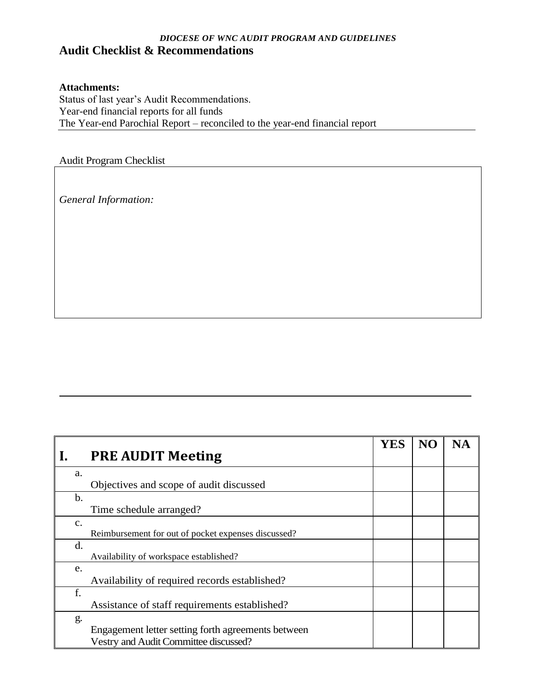# *DIOCESE OF WNC AUDIT PROGRAM AND GUIDELINES* **Audit Checklist & Recommendations**

## **Attachments:**

Status of last year's Audit Recommendations. Year-end financial reports for all funds The Year-end Parochial Report – reconciled to the year-end financial report

Audit Program Checklist

*General Information:*

|                |                                                     | <b>YES</b> | <b>NO</b> |  |
|----------------|-----------------------------------------------------|------------|-----------|--|
| $\mathbf{I}$ . | <b>PRE AUDIT Meeting</b>                            |            |           |  |
| a.             |                                                     |            |           |  |
|                | Objectives and scope of audit discussed             |            |           |  |
| b.             |                                                     |            |           |  |
|                | Time schedule arranged?                             |            |           |  |
| $\mathbf{C}$ . |                                                     |            |           |  |
|                | Reimbursement for out of pocket expenses discussed? |            |           |  |
| d.             |                                                     |            |           |  |
|                | Availability of workspace established?              |            |           |  |
| e.             |                                                     |            |           |  |
|                | Availability of required records established?       |            |           |  |
| f.             |                                                     |            |           |  |
|                | Assistance of staff requirements established?       |            |           |  |
| g.             |                                                     |            |           |  |
|                | Engagement letter setting forth agreements between  |            |           |  |
|                | Vestry and Audit Committee discussed?               |            |           |  |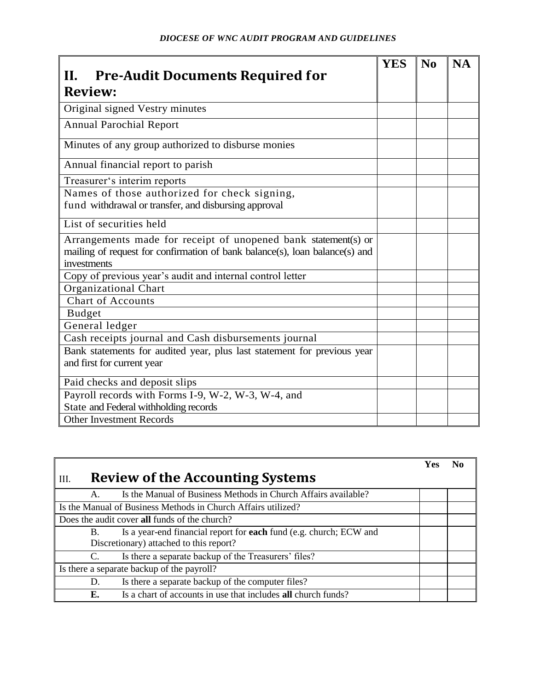| Н.<br><b>Pre-Audit Documents Required for</b>                               | <b>YES</b> | N <sub>0</sub> | <b>NA</b> |
|-----------------------------------------------------------------------------|------------|----------------|-----------|
|                                                                             |            |                |           |
| <b>Review:</b>                                                              |            |                |           |
| Original signed Vestry minutes                                              |            |                |           |
| <b>Annual Parochial Report</b>                                              |            |                |           |
| Minutes of any group authorized to disburse monies                          |            |                |           |
| Annual financial report to parish                                           |            |                |           |
| Treasurer's interim reports                                                 |            |                |           |
| Names of those authorized for check signing,                                |            |                |           |
| fund withdrawal or transfer, and disbursing approval                        |            |                |           |
| List of securities held                                                     |            |                |           |
| Arrangements made for receipt of unopened bank statement(s) or              |            |                |           |
| mailing of request for confirmation of bank balance(s), loan balance(s) and |            |                |           |
| investments                                                                 |            |                |           |
| Copy of previous year's audit and internal control letter                   |            |                |           |
| Organizational Chart                                                        |            |                |           |
| <b>Chart of Accounts</b>                                                    |            |                |           |
| <b>Budget</b>                                                               |            |                |           |
| General ledger                                                              |            |                |           |
| Cash receipts journal and Cash disbursements journal                        |            |                |           |
| Bank statements for audited year, plus last statement for previous year     |            |                |           |
| and first for current year                                                  |            |                |           |
| Paid checks and deposit slips                                               |            |                |           |
| Payroll records with Forms I-9, W-2, W-3, W-4, and                          |            |                |           |
| State and Federal withholding records                                       |            |                |           |
| <b>Other Investment Records</b>                                             |            |                |           |

|                |                                                                    | Yes |  |
|----------------|--------------------------------------------------------------------|-----|--|
| III.           | <b>Review of the Accounting Systems</b>                            |     |  |
| $\mathsf{A}$ . | Is the Manual of Business Methods in Church Affairs available?     |     |  |
|                | Is the Manual of Business Methods in Church Affairs utilized?      |     |  |
|                | Does the audit cover all funds of the church?                      |     |  |
| <b>B.</b>      | Is a year-end financial report for each fund (e.g. church; ECW and |     |  |
|                | Discretionary) attached to this report?                            |     |  |
| C.             | Is there a separate backup of the Treasurers' files?               |     |  |
|                | Is there a separate backup of the payroll?                         |     |  |
| D.             | Is there a separate backup of the computer files?                  |     |  |
| Е.             | Is a chart of accounts in use that includes all church funds?      |     |  |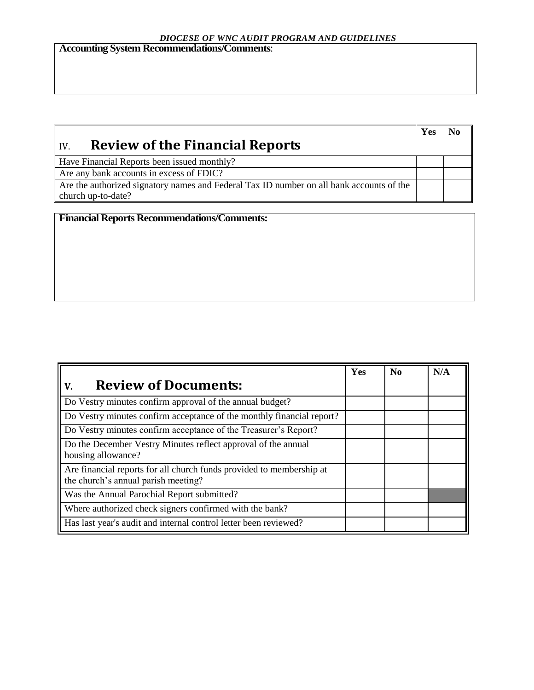**Accounting System Recommendations/Comments**:

|                                                                                          | <b>Yes</b> |  |
|------------------------------------------------------------------------------------------|------------|--|
| <b>Review of the Financial Reports</b><br>$\overline{IV}$                                |            |  |
| Have Financial Reports been issued monthly?                                              |            |  |
| Are any bank accounts in excess of FDIC?                                                 |            |  |
| Are the authorized signatory names and Federal Tax ID number on all bank accounts of the |            |  |
| church up-to-date?                                                                       |            |  |

**Financial Reports Recommendations/Comments:**

|                                                                                                             | Yes | $\bf No$ | N/A |
|-------------------------------------------------------------------------------------------------------------|-----|----------|-----|
| <b>Review of Documents:</b><br>V.                                                                           |     |          |     |
| Do Vestry minutes confirm approval of the annual budget?                                                    |     |          |     |
| Do Vestry minutes confirm acceptance of the monthly financial report?                                       |     |          |     |
| Do Vestry minutes confirm acceptance of the Treasurer's Report?                                             |     |          |     |
| Do the December Vestry Minutes reflect approval of the annual<br>housing allowance?                         |     |          |     |
| Are financial reports for all church funds provided to membership at<br>the church's annual parish meeting? |     |          |     |
| Was the Annual Parochial Report submitted?                                                                  |     |          |     |
| Where authorized check signers confirmed with the bank?                                                     |     |          |     |
| Has last year's audit and internal control letter been reviewed?                                            |     |          |     |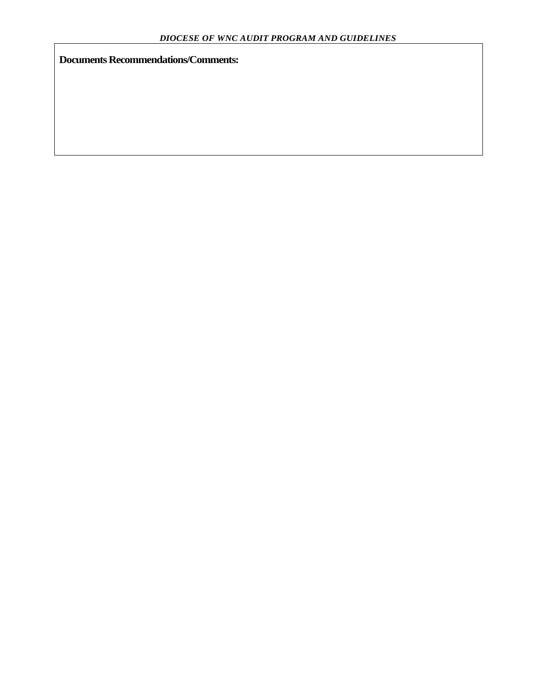**Documents Recommendations/Comments:**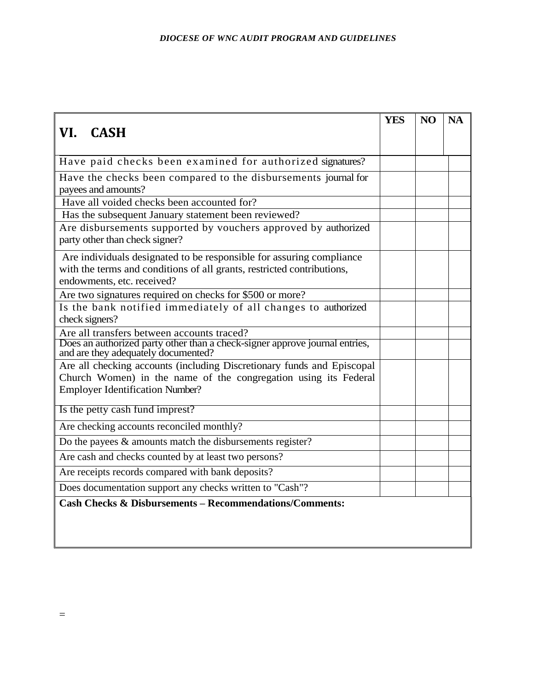|                                                                                                                 | <b>YES</b> | NO | <b>NA</b> |
|-----------------------------------------------------------------------------------------------------------------|------------|----|-----------|
| VI. CASH                                                                                                        |            |    |           |
|                                                                                                                 |            |    |           |
| Have paid checks been examined for authorized signatures?                                                       |            |    |           |
| Have the checks been compared to the disbursements journal for                                                  |            |    |           |
| payees and amounts?                                                                                             |            |    |           |
| Have all voided checks been accounted for?                                                                      |            |    |           |
| Has the subsequent January statement been reviewed?                                                             |            |    |           |
| Are disbursements supported by vouchers approved by authorized<br>party other than check signer?                |            |    |           |
| Are individuals designated to be responsible for assuring compliance                                            |            |    |           |
| with the terms and conditions of all grants, restricted contributions,                                          |            |    |           |
| endowments, etc. received?                                                                                      |            |    |           |
| Are two signatures required on checks for \$500 or more?                                                        |            |    |           |
| Is the bank notified immediately of all changes to authorized                                                   |            |    |           |
| check signers?                                                                                                  |            |    |           |
| Are all transfers between accounts traced?                                                                      |            |    |           |
| Does an authorized party other than a check-signer approve journal entries, and are they adequately documented? |            |    |           |
| Are all checking accounts (including Discretionary funds and Episcopal                                          |            |    |           |
| Church Women) in the name of the congregation using its Federal                                                 |            |    |           |
| <b>Employer Identification Number?</b>                                                                          |            |    |           |
| Is the petty cash fund imprest?                                                                                 |            |    |           |
| Are checking accounts reconciled monthly?                                                                       |            |    |           |
| Do the payees $\&$ amounts match the disbursements register?                                                    |            |    |           |
| Are cash and checks counted by at least two persons?                                                            |            |    |           |
| Are receipts records compared with bank deposits?                                                               |            |    |           |
| Does documentation support any checks written to "Cash"?                                                        |            |    |           |
| <b>Cash Checks &amp; Disbursements - Recommendations/Comments:</b>                                              |            |    |           |
|                                                                                                                 |            |    |           |
|                                                                                                                 |            |    |           |
|                                                                                                                 |            |    |           |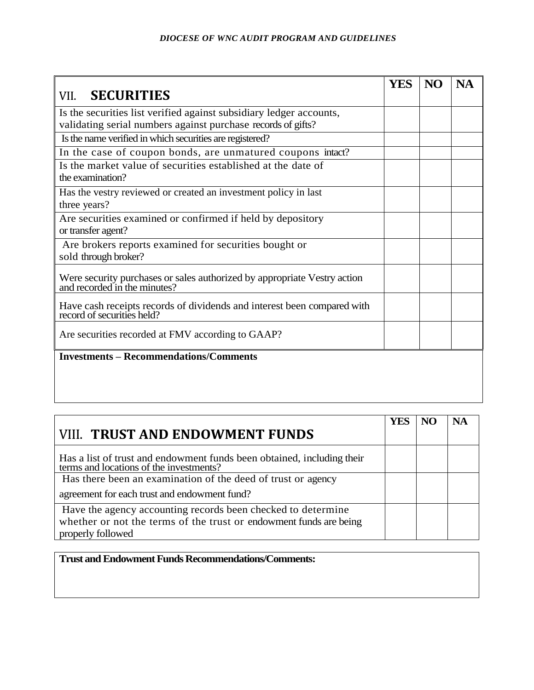|                                                                                                          | YES | NO | <b>NA</b> |
|----------------------------------------------------------------------------------------------------------|-----|----|-----------|
| <b>SECURITIES</b><br>VII.                                                                                |     |    |           |
| Is the securities list verified against subsidiary ledger accounts,                                      |     |    |           |
| validating serial numbers against purchase records of gifts?                                             |     |    |           |
| Is the name verified in which securities are registered?                                                 |     |    |           |
| In the case of coupon bonds, are unmatured coupons intact?                                               |     |    |           |
| Is the market value of securities established at the date of<br>the examination?                         |     |    |           |
| Has the vestry reviewed or created an investment policy in last<br>three years?                          |     |    |           |
| Are securities examined or confirmed if held by depository<br>or transfer agent?                         |     |    |           |
| Are brokers reports examined for securities bought or<br>sold through broker?                            |     |    |           |
| Were security purchases or sales authorized by appropriate Vestry action<br>and recorded in the minutes? |     |    |           |
| Have cash receipts records of dividends and interest been compared with record of securities held?       |     |    |           |
| Are securities recorded at FMV according to GAAP?                                                        |     |    |           |
| <b>Investments - Recommendations/Comments</b>                                                            |     |    |           |
|                                                                                                          |     |    |           |
|                                                                                                          |     |    |           |
|                                                                                                          |     |    |           |

|                                                                                                                                                         | YES | <b>NA</b> |
|---------------------------------------------------------------------------------------------------------------------------------------------------------|-----|-----------|
| <b>VIII. TRUST AND ENDOWMENT FUNDS</b>                                                                                                                  |     |           |
| Has a list of trust and endowment funds been obtained, including their<br>terms and locations of the investments?                                       |     |           |
| Has there been an examination of the deed of trust or agency                                                                                            |     |           |
| agreement for each trust and endowment fund?                                                                                                            |     |           |
| Have the agency accounting records been checked to determine<br>whether or not the terms of the trust or endowment funds are being<br>properly followed |     |           |

**Trust and Endowment Funds Recommendations/Comments:**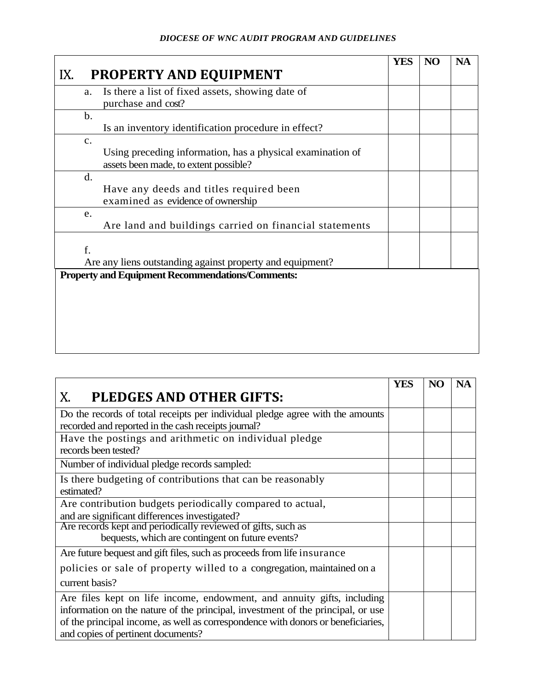|                                                                                                                       | <b>YES</b> | NO | <b>NA</b> |
|-----------------------------------------------------------------------------------------------------------------------|------------|----|-----------|
| PROPERTY AND EQUIPMENT<br>IX.                                                                                         |            |    |           |
| Is there a list of fixed assets, showing date of<br>a.<br>purchase and cost?                                          |            |    |           |
| $b$ .<br>Is an inventory identification procedure in effect?                                                          |            |    |           |
| $\mathbf{c}$ .<br>Using preceding information, has a physical examination of<br>assets been made, to extent possible? |            |    |           |
| d.<br>Have any deeds and titles required been<br>examined as evidence of ownership                                    |            |    |           |
| e.<br>Are land and buildings carried on financial statements                                                          |            |    |           |
| f.<br>Are any liens outstanding against property and equipment?                                                       |            |    |           |
| <b>Property and Equipment Recommendations/Comments:</b>                                                               |            |    |           |
|                                                                                                                       |            |    |           |
|                                                                                                                       |            |    |           |
|                                                                                                                       |            |    |           |

|                                                                                  | <b>YES</b> | NO | <b>NA</b> |
|----------------------------------------------------------------------------------|------------|----|-----------|
| Х.<br>PLEDGES AND OTHER GIFTS:                                                   |            |    |           |
| Do the records of total receipts per individual pledge agree with the amounts    |            |    |           |
| recorded and reported in the cash receipts journal?                              |            |    |           |
| Have the postings and arithmetic on individual pledge                            |            |    |           |
| records been tested?                                                             |            |    |           |
| Number of individual pledge records sampled:                                     |            |    |           |
| Is there budgeting of contributions that can be reasonably                       |            |    |           |
| estimated?                                                                       |            |    |           |
| Are contribution budgets periodically compared to actual,                        |            |    |           |
| and are significant differences investigated?                                    |            |    |           |
| Are records kept and periodically reviewed of gifts, such as                     |            |    |           |
| bequests, which are contingent on future events?                                 |            |    |           |
| Are future bequest and gift files, such as proceeds from life insurance          |            |    |           |
| policies or sale of property willed to a congregation, maintained on a           |            |    |           |
| current basis?                                                                   |            |    |           |
| Are files kept on life income, endowment, and annuity gifts, including           |            |    |           |
| information on the nature of the principal, investment of the principal, or use  |            |    |           |
| of the principal income, as well as correspondence with donors or beneficiaries, |            |    |           |
| and copies of pertinent documents?                                               |            |    |           |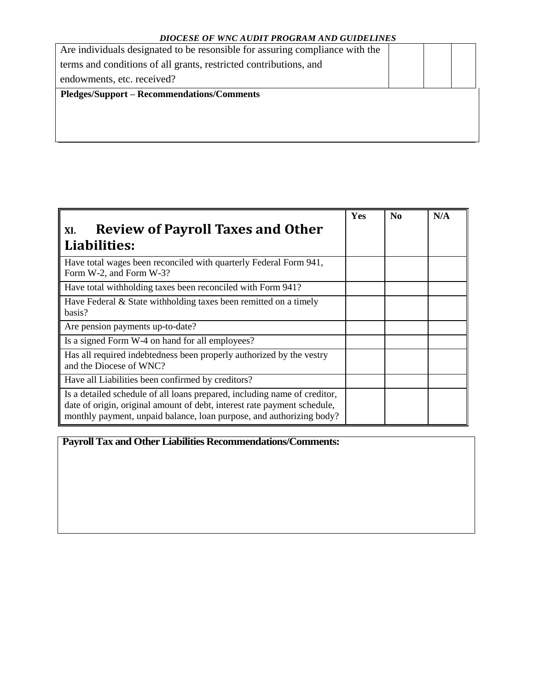| Are individuals designated to be resonsible for assuring compliance with the |  |  |
|------------------------------------------------------------------------------|--|--|
| terms and conditions of all grants, restricted contributions, and            |  |  |
| endowments, etc. received?                                                   |  |  |
|                                                                              |  |  |
| <b>Pledges/Support – Recommendations/Comments</b>                            |  |  |
|                                                                              |  |  |

|                                                                                                                                                                                                                               | Yes | N <sub>0</sub> | N/A |
|-------------------------------------------------------------------------------------------------------------------------------------------------------------------------------------------------------------------------------|-----|----------------|-----|
| <b>Review of Payroll Taxes and Other</b><br>XI.                                                                                                                                                                               |     |                |     |
| Liabilities:                                                                                                                                                                                                                  |     |                |     |
| Have total wages been reconciled with quarterly Federal Form 941,<br>Form W-2, and Form W-3?                                                                                                                                  |     |                |     |
| Have total withholding taxes been reconciled with Form 941?                                                                                                                                                                   |     |                |     |
| Have Federal $\&$ State with holding taxes been remitted on a timely<br>basis?                                                                                                                                                |     |                |     |
| Are pension payments up-to-date?                                                                                                                                                                                              |     |                |     |
| Is a signed Form W-4 on hand for all employees?                                                                                                                                                                               |     |                |     |
| Has all required indebtedness been properly authorized by the vestry<br>and the Diocese of WNC?                                                                                                                               |     |                |     |
| Have all Liabilities been confirmed by creditors?                                                                                                                                                                             |     |                |     |
| Is a detailed schedule of all loans prepared, including name of creditor,<br>date of origin, original amount of debt, interest rate payment schedule,<br>monthly payment, unpaid balance, loan purpose, and authorizing body? |     |                |     |

**Payroll Tax and Other Liabilities Recommendations/Comments:**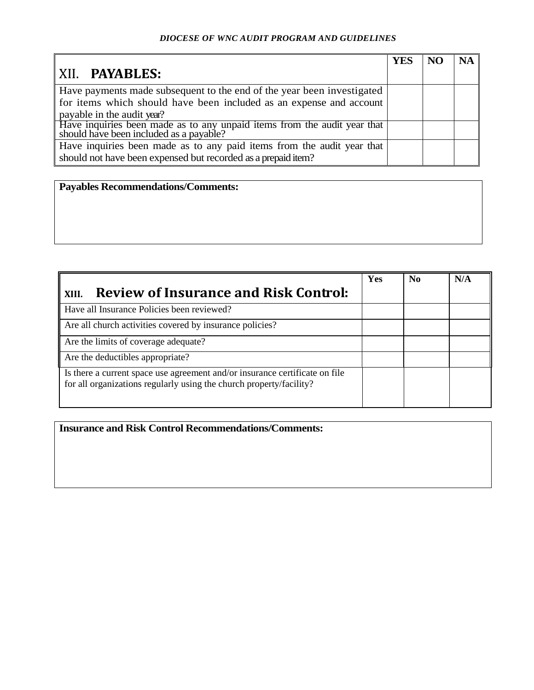|                                                                                                                     | <b>YES</b> | NC | <b>NA</b> |
|---------------------------------------------------------------------------------------------------------------------|------------|----|-----------|
| XII. PAYABLES:                                                                                                      |            |    |           |
| Have payments made subsequent to the end of the year been investigated                                              |            |    |           |
| for items which should have been included as an expense and account                                                 |            |    |           |
| payable in the audit year?                                                                                          |            |    |           |
| Have inquiries been made as to any unpaid items from the audit year that<br>should have been included as a payable? |            |    |           |
| Have inquiries been made as to any paid items from the audit year that                                              |            |    |           |
| should not have been expensed but recorded as a prepaid item?                                                       |            |    |           |

**Payables Recommendations/Comments:**

| <b>Review of Insurance and Risk Control:</b><br>XIII.                                                                                              | Yes | N <sub>0</sub> | N/A |
|----------------------------------------------------------------------------------------------------------------------------------------------------|-----|----------------|-----|
| Have all Insurance Policies been reviewed?                                                                                                         |     |                |     |
| Are all church activities covered by insurance policies?                                                                                           |     |                |     |
| Are the limits of coverage adequate?                                                                                                               |     |                |     |
| Are the deductibles appropriate?                                                                                                                   |     |                |     |
| Is there a current space use agreement and/or insurance certificate on file<br>for all organizations regularly using the church property/facility? |     |                |     |

**Insurance and Risk Control Recommendations/Comments:**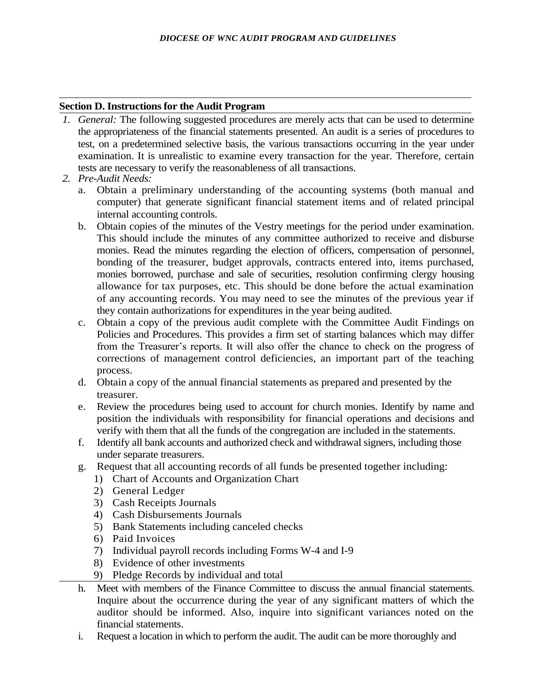#### **Section D. Instructions for the Audit Program**

- *1. General:* The following suggested procedures are merely acts that can be used to determine the appropriateness of the financial statements presented. An audit is a series of procedures to test, on a predetermined selective basis, the various transactions occurring in the year under examination. It is unrealistic to examine every transaction for the year. Therefore, certain tests are necessary to verify the reasonableness of all transactions.
- *2. Pre-Audit Needs:*
	- a. Obtain a preliminary understanding of the accounting systems (both manual and computer) that generate significant financial statement items and of related principal internal accounting controls.
	- b. Obtain copies of the minutes of the Vestry meetings for the period under examination. This should include the minutes of any committee authorized to receive and disburse monies. Read the minutes regarding the election of officers, compensation of personnel, bonding of the treasurer, budget approvals, contracts entered into, items purchased, monies borrowed, purchase and sale of securities, resolution confirming clergy housing allowance for tax purposes, etc. This should be done before the actual examination of any accounting records. You may need to see the minutes of the previous year if they contain authorizations for expenditures in the year being audited.
	- c. Obtain a copy of the previous audit complete with the Committee Audit Findings on Policies and Procedures. This provides a firm set of starting balances which may differ from the Treasurer's reports. It will also offer the chance to check on the progress of corrections of management control deficiencies, an important part of the teaching process.
	- d. Obtain a copy of the annual financial statements as prepared and presented by the treasurer.
	- e. Review the procedures being used to account for church monies. Identify by name and position the individuals with responsibility for financial operations and decisions and verify with them that all the funds of the congregation are included in the statements.
	- f. Identify all bank accounts and authorized check and withdrawal signers, including those under separate treasurers.
	- g. Request that all accounting records of all funds be presented together including:
		- 1) Chart of Accounts and Organization Chart
		- 2) General Ledger
		- 3) Cash Receipts Journals
		- 4) Cash Disbursements Journals
		- 5) Bank Statements including canceled checks
		- 6) Paid Invoices
		- 7) Individual payroll records including Forms W-4 and I-9
		- 8) Evidence of other investments
		- 9) Pledge Records by individual and total
	- h. Meet with members of the Finance Committee to discuss the annual financial statements. Inquire about the occurrence during the year of any significant matters of which the auditor should be informed. Also, inquire into significant variances noted on the financial statements.
	- i. Request a location in which to perform the audit. The audit can be more thoroughly and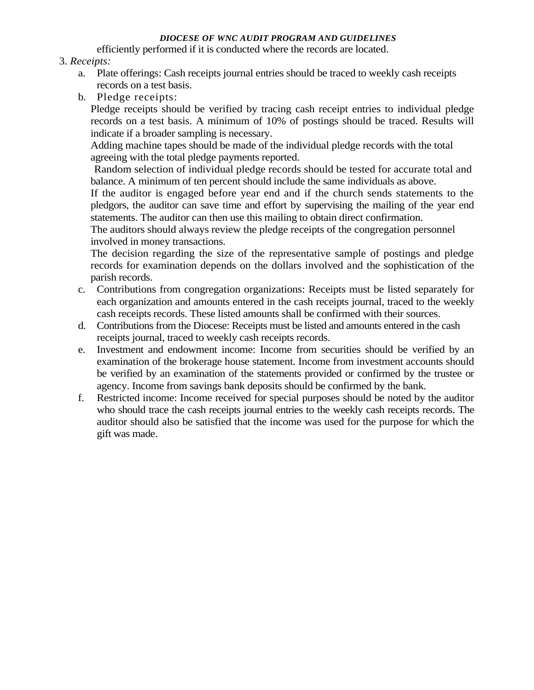efficiently performed if it is conducted where the records are located.

### 3. *Receipts:*

- a. Plate offerings: Cash receipts journal entries should be traced to weekly cash receipts records on a test basis.
- b. Pledge receipts:

Pledge receipts should be verified by tracing cash receipt entries to individual pledge records on a test basis. A minimum of 10% of postings should be traced. Results will indicate if a broader sampling is necessary.

Adding machine tapes should be made of the individual pledge records with the total agreeing with the total pledge payments reported.

Random selection of individual pledge records should be tested for accurate total and balance. A minimum of ten percent should include the same individuals as above.

If the auditor is engaged before year end and if the church sends statements to the pledgors, the auditor can save time and effort by supervising the mailing of the year end statements. The auditor can then use this mailing to obtain direct confirmation.

The auditors should always review the pledge receipts of the congregation personnel involved in money transactions.

The decision regarding the size of the representative sample of postings and pledge records for examination depends on the dollars involved and the sophistication of the parish records.

- c. Contributions from congregation organizations: Receipts must be listed separately for each organization and amounts entered in the cash receipts journal, traced to the weekly cash receipts records. These listed amounts shall be confirmed with their sources.
- d. Contributions from the Diocese: Receipts must be listed and amounts entered in the cash receipts journal, traced to weekly cash receipts records.
- e. Investment and endowment income: Income from securities should be verified by an examination of the brokerage house statement. Income from investment accounts should be verified by an examination of the statements provided or confirmed by the trustee or agency. Income from savings bank deposits should be confirmed by the bank.
- f. Restricted income: Income received for special purposes should be noted by the auditor who should trace the cash receipts journal entries to the weekly cash receipts records. The auditor should also be satisfied that the income was used for the purpose for which the gift was made.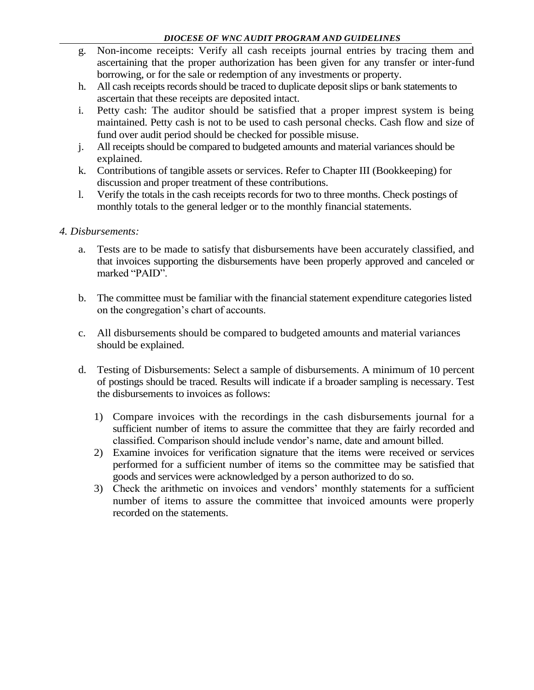- g. Non-income receipts: Verify all cash receipts journal entries by tracing them and ascertaining that the proper authorization has been given for any transfer or inter-fund borrowing, or for the sale or redemption of any investments or property.
- h. All cash receipts records should be traced to duplicate deposit slips or bank statements to ascertain that these receipts are deposited intact.
- i. Petty cash: The auditor should be satisfied that a proper imprest system is being maintained. Petty cash is not to be used to cash personal checks. Cash flow and size of fund over audit period should be checked for possible misuse.
- j. All receipts should be compared to budgeted amounts and material variances should be explained.
- k. Contributions of tangible assets or services. Refer to Chapter III (Bookkeeping) for discussion and proper treatment of these contributions.
- l. Verify the totals in the cash receipts records for two to three months. Check postings of monthly totals to the general ledger or to the monthly financial statements.

## *4. Disbursements:*

- a. Tests are to be made to satisfy that disbursements have been accurately classified, and that invoices supporting the disbursements have been properly approved and canceled or marked "PAID".
- b. The committee must be familiar with the financial statement expenditure categories listed on the congregation's chart of accounts.
- c. All disbursements should be compared to budgeted amounts and material variances should be explained.
- d. Testing of Disbursements: Select a sample of disbursements. A minimum of 10 percent of postings should be traced. Results will indicate if a broader sampling is necessary. Test the disbursements to invoices as follows:
	- 1) Compare invoices with the recordings in the cash disbursements journal for a sufficient number of items to assure the committee that they are fairly recorded and classified. Comparison should include vendor's name, date and amount billed.
	- 2) Examine invoices for verification signature that the items were received or services performed for a sufficient number of items so the committee may be satisfied that goods and services were acknowledged by a person authorized to do so.
	- 3) Check the arithmetic on invoices and vendors' monthly statements for a sufficient number of items to assure the committee that invoiced amounts were properly recorded on the statements.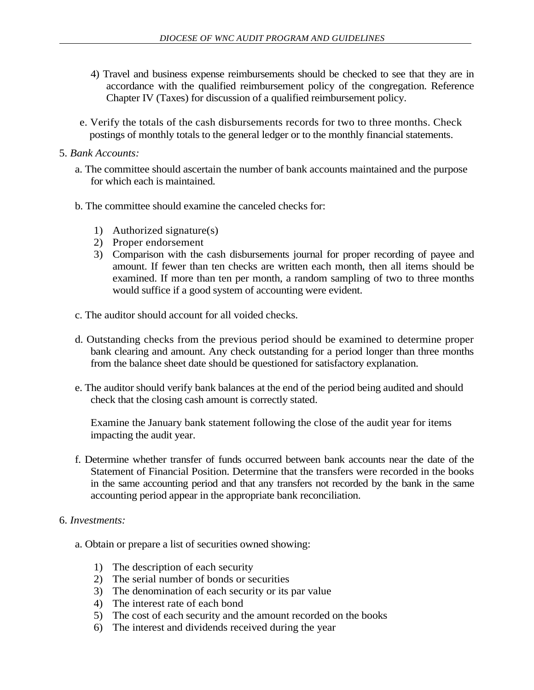- 4) Travel and business expense reimbursements should be checked to see that they are in accordance with the qualified reimbursement policy of the congregation. Reference Chapter IV (Taxes) for discussion of a qualified reimbursement policy.
- e. Verify the totals of the cash disbursements records for two to three months. Check postings of monthly totals to the general ledger or to the monthly financial statements.
- 5. *Bank Accounts:*
	- a. The committee should ascertain the number of bank accounts maintained and the purpose for which each is maintained.
	- b. The committee should examine the canceled checks for:
		- 1) Authorized signature(s)
		- 2) Proper endorsement
		- 3) Comparison with the cash disbursements journal for proper recording of payee and amount. If fewer than ten checks are written each month, then all items should be examined. If more than ten per month, a random sampling of two to three months would suffice if a good system of accounting were evident.
	- c. The auditor should account for all voided checks.
	- d. Outstanding checks from the previous period should be examined to determine proper bank clearing and amount. Any check outstanding for a period longer than three months from the balance sheet date should be questioned for satisfactory explanation.
	- e. The auditor should verify bank balances at the end of the period being audited and should check that the closing cash amount is correctly stated.

Examine the January bank statement following the close of the audit year for items impacting the audit year.

- f. Determine whether transfer of funds occurred between bank accounts near the date of the Statement of Financial Position. Determine that the transfers were recorded in the books in the same accounting period and that any transfers not recorded by the bank in the same accounting period appear in the appropriate bank reconciliation.
- 6. *Investments:*
	- a. Obtain or prepare a list of securities owned showing:
		- 1) The description of each security
		- 2) The serial number of bonds or securities
		- 3) The denomination of each security or its par value
		- 4) The interest rate of each bond
		- 5) The cost of each security and the amount recorded on the books
		- 6) The interest and dividends received during the year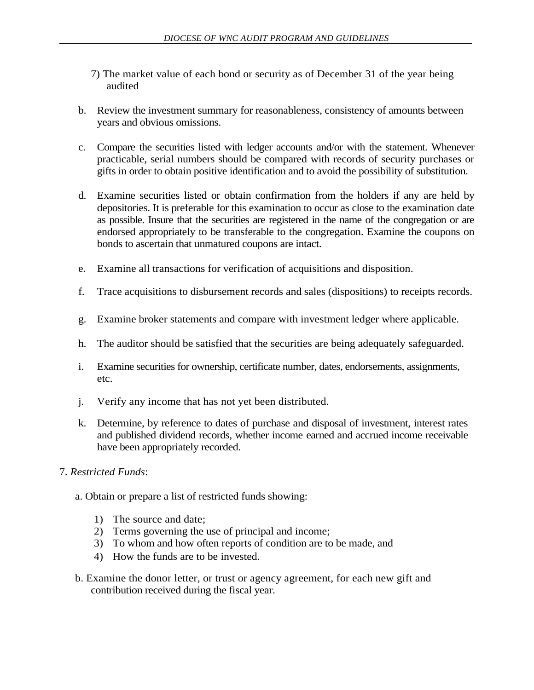- 7) The market value of each bond or security as of December 31 of the year being audited
- b. Review the investment summary for reasonableness, consistency of amounts between years and obvious omissions.
- c. Compare the securities listed with ledger accounts and/or with the statement. Whenever practicable, serial numbers should be compared with records of security purchases or gifts in order to obtain positive identification and to avoid the possibility of substitution.
- d. Examine securities listed or obtain confirmation from the holders if any are held by depositories. It is preferable for this examination to occur as close to the examination date as possible. Insure that the securities are registered in the name of the congregation or are endorsed appropriately to be transferable to the congregation. Examine the coupons on bonds to ascertain that unmatured coupons are intact.
- e. Examine all transactions for verification of acquisitions and disposition.
- f. Trace acquisitions to disbursement records and sales (dispositions) to receipts records.
- g. Examine broker statements and compare with investment ledger where applicable.
- h. The auditor should be satisfied that the securities are being adequately safeguarded.
- i. Examine securities for ownership, certificate number, dates, endorsements, assignments, etc.
- j. Verify any income that has not yet been distributed.
- k. Determine, by reference to dates of purchase and disposal of investment, interest rates and published dividend records, whether income earned and accrued income receivable have been appropriately recorded.
- 7. *Restricted Funds*:
	- a. Obtain or prepare a list of restricted funds showing:
		- 1) The source and date;
		- 2) Terms governing the use of principal and income;
		- 3) To whom and how often reports of condition are to be made, and
		- 4) How the funds are to be invested.
	- b. Examine the donor letter, or trust or agency agreement, for each new gift and contribution received during the fiscal year.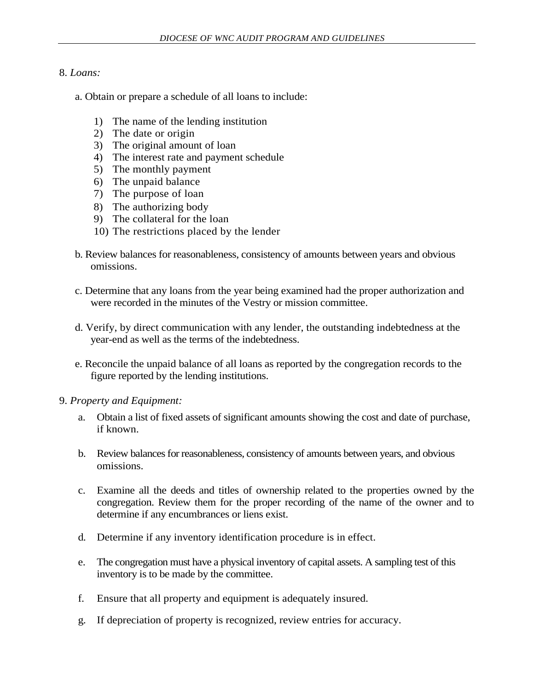## 8. *Loans:*

- a. Obtain or prepare a schedule of all loans to include:
	- 1) The name of the lending institution
	- 2) The date or origin
	- 3) The original amount of loan
	- 4) The interest rate and payment schedule
	- 5) The monthly payment
	- 6) The unpaid balance
	- 7) The purpose of loan
	- 8) The authorizing body
	- 9) The collateral for the loan
	- 10) The restrictions placed by the lender
- b. Review balances for reasonableness, consistency of amounts between years and obvious omissions.
- c. Determine that any loans from the year being examined had the proper authorization and were recorded in the minutes of the Vestry or mission committee.
- d. Verify, by direct communication with any lender, the outstanding indebtedness at the year-end as well as the terms of the indebtedness.
- e. Reconcile the unpaid balance of all loans as reported by the congregation records to the figure reported by the lending institutions.

#### 9. *Property and Equipment:*

- a. Obtain a list of fixed assets of significant amounts showing the cost and date of purchase, if known.
- b. Review balances for reasonableness, consistency of amounts between years, and obvious omissions.
- c. Examine all the deeds and titles of ownership related to the properties owned by the congregation. Review them for the proper recording of the name of the owner and to determine if any encumbrances or liens exist.
- d. Determine if any inventory identification procedure is in effect.
- e. The congregation must have a physical inventory of capital assets. A sampling test of this inventory is to be made by the committee.
- f. Ensure that all property and equipment is adequately insured.
- g. If depreciation of property is recognized, review entries for accuracy.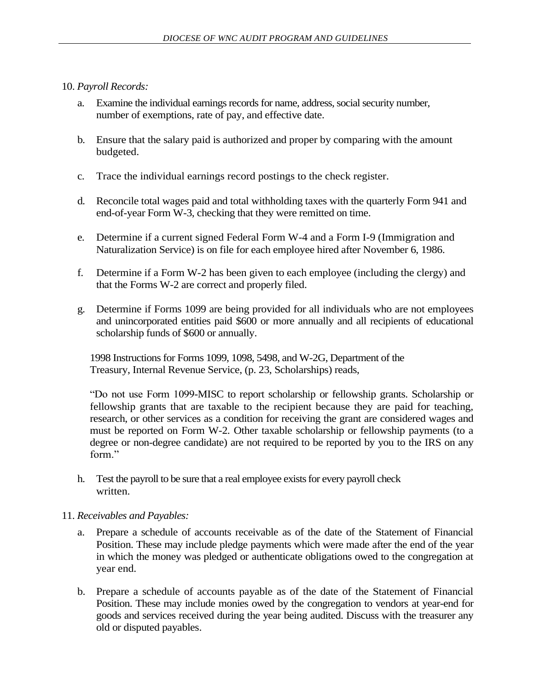# 10. *Payroll Records:*

- a. Examine the individual earnings records for name, address, social security number, number of exemptions, rate of pay, and effective date.
- b. Ensure that the salary paid is authorized and proper by comparing with the amount budgeted.
- c. Trace the individual earnings record postings to the check register.
- d. Reconcile total wages paid and total withholding taxes with the quarterly Form 941 and end-of-year Form W-3, checking that they were remitted on time.
- e. Determine if a current signed Federal Form W-4 and a Form I-9 (Immigration and Naturalization Service) is on file for each employee hired after November 6, 1986.
- f. Determine if a Form W-2 has been given to each employee (including the clergy) and that the Forms W-2 are correct and properly filed.
- g. Determine if Forms 1099 are being provided for all individuals who are not employees and unincorporated entities paid \$600 or more annually and all recipients of educational scholarship funds of \$600 or annually.

1998 Instructions for Forms 1099, 1098, 5498, and W-2G, Department of the Treasury, Internal Revenue Service, (p. 23, Scholarships) reads,

"Do not use Form 1099-MISC to report scholarship or fellowship grants. Scholarship or fellowship grants that are taxable to the recipient because they are paid for teaching, research, or other services as a condition for receiving the grant are considered wages and must be reported on Form W-2. Other taxable scholarship or fellowship payments (to a degree or non-degree candidate) are not required to be reported by you to the IRS on any form"

h. Test the payroll to be sure that a real employee exists for every payroll check written.

## 11. *Receivables and Payables:*

- a. Prepare a schedule of accounts receivable as of the date of the Statement of Financial Position. These may include pledge payments which were made after the end of the year in which the money was pledged or authenticate obligations owed to the congregation at year end.
- b. Prepare a schedule of accounts payable as of the date of the Statement of Financial Position. These may include monies owed by the congregation to vendors at year-end for goods and services received during the year being audited. Discuss with the treasurer any old or disputed payables.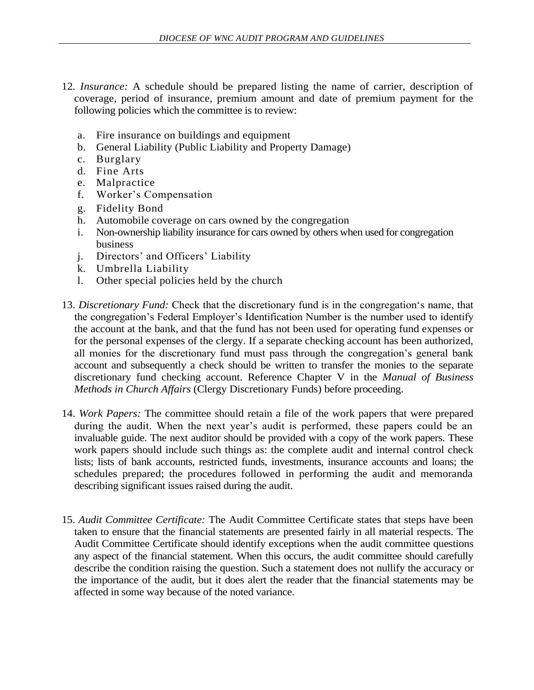- 12*. Insurance:* A schedule should be prepared listing the name of carrier, description of coverage, period of insurance, premium amount and date of premium payment for the following policies which the committee is to review:
	- a. Fire insurance on buildings and equipment
	- b. General Liability (Public Liability and Property Damage)
	- c. Burglary
	- d. Fine Arts
	- e. Malpractice
	- f. Worker's Compensation
	- g. Fidelity Bond
	- h. Automobile coverage on cars owned by the congregation
	- i. Non-ownership liability insurance for cars owned by others when used for congregation business
	- j. Directors' and Officers' Liability
	- k. Umbrella Liability
	- l. Other special policies held by the church
- 13. *Discretionary Fund:* Check that the discretionary fund is in the congregation's name, that the congregation's Federal Employer's Identification Number is the number used to identify the account at the bank, and that the fund has not been used for operating fund expenses or for the personal expenses of the clergy. If a separate checking account has been authorized, all monies for the discretionary fund must pass through the congregation's general bank account and subsequently a check should be written to transfer the monies to the separate discretionary fund checking account. Reference Chapter V in the *Manual of Business Methods in Church Affairs* (Clergy Discretionary Funds) before proceeding.
- 14. *Work Papers:* The committee should retain a file of the work papers that were prepared during the audit. When the next year's audit is performed, these papers could be an invaluable guide. The next auditor should be provided with a copy of the work papers. These work papers should include such things as: the complete audit and internal control check lists; lists of bank accounts, restricted funds, investments, insurance accounts and loans; the schedules prepared; the procedures followed in performing the audit and memoranda describing significant issues raised during the audit.
- 15. *Audit Committee Certificate:* The Audit Committee Certificate states that steps have been taken to ensure that the financial statements are presented fairly in all material respects. The Audit Committee Certificate should identify exceptions when the audit committee questions any aspect of the financial statement. When this occurs, the audit committee should carefully describe the condition raising the question. Such a statement does not nullify the accuracy or the importance of the audit, but it does alert the reader that the financial statements may be affected in some way because of the noted variance.